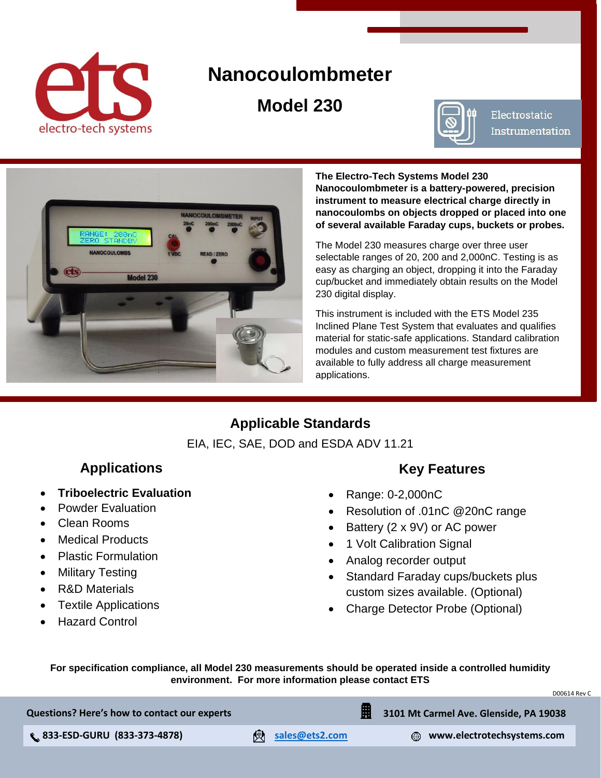<span id="page-0-0"></span>

# **Nanocoulombmeter**

**Model 230**



Electrostatic **Instrumentation** 



**The Electro-Tech Systems Model 230 Nanocoulombmeter is a battery-powered, precision instrument to measure electrical charge directly in nanocoulombs on objects dropped or placed into one of several available Faraday cups, buckets or probes.** 

The Model 230 measures charge over three user selectable ranges of 20, 200 and 2,000nC. Testing is as easy as charging an object, dropping it into the Faraday cup/bucket and immediately obtain results on the Model 230 digital display.

This instrument is included with the ETS Model 235 Inclined Plane Test System that evaluates and qualifies material for static-safe applications. Standard calibration modules and custom measurement test fixtures are available to fully address all charge measurement applications.

## **Applicable Standards**

EIA, IEC, SAE, DOD and ESDA ADV 11.21

## **Applications**

- **Triboelectric Evaluation**
- Powder Evaluation
- Clean Rooms
- Medical Products
- Plastic Formulation
- Military Testing
- R&D Materials
- Textile Applications
- Hazard Control

#### **Key Features**

- Range: 0-2,000nC
- Resolution of .01nC @20nC range
- Battery (2 x 9V) or AC power
- 1 Volt Calibration Signal
- Analog recorder output
- Standard Faraday cups/buckets plus custom sizes available. (Optional)
- Charge Detector Probe (Optional)

**For specification compliance, all Model 230 measurements should be operated inside a controlled humidity environment. For more information please contact ETS**

**Questions? Here's how to contact our experts**

 **833-ESD-GURU (833-373-4878) [sales@ets2.com](https://www.electrotechsystems.com/contact-us/) www.electrotechsystems.com**

**3101 Mt Carmel Ave. Glenside, PA 19038**